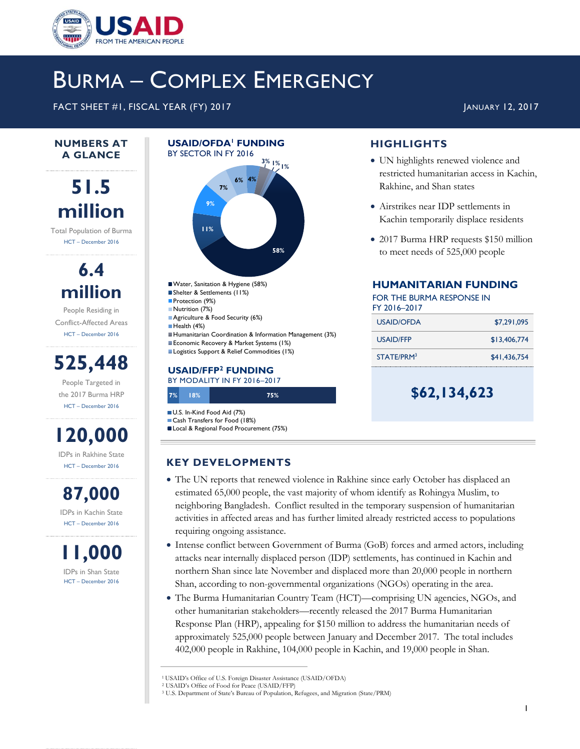

# BURMA – COMPLEX EMERGENCY

FACT SHEET #1, FISCAL YEAR (FY) 2017 **JANUARY 12, 2017** JANUARY 12, 2017

#### **NUMBERS AT A GLANCE**

## **51.5 million**

Total Population of Burma HCT – December 2016

> **6.4 million** People Residing in

Conflict-Affected Areas HCT – December 2016

**525,448**

People Targeted in the 2017 Burma HRP HCT – December 2016



IDPs in Rakhine State HCT – December 2016

**87,000** IDPs in Kachin State HCT – December 2016

**11,000** IDPs in Shan State HCT – December 2016

### **USAID/OFDA<sup>1</sup> FUNDING** BY SECTOR IN FY 2016 **3% 1% 1%**



Shelter & Settlements (11%) Protection (9%) Nutrition (7%) **Agriculture & Food Security (6%)** Health (4%) Humanitarian Coordination & Information Management (3%) Economic Recovery & Market Systems (1%) **Logistics Support & Relief Commodities (1%)** 

## **USAID/FFP<sup>2</sup> FUNDING**

**7% 18% 75%** BY MODALITY IN FY 2016–2017

U.S. In-Kind Food Aid (7%) Cash Transfers for Food (18%)

Local & Regional Food Procurement (75%)

## **KEY DEVELOPMENTS**

- The UN reports that renewed violence in Rakhine since early October has displaced an estimated 65,000 people, the vast majority of whom identify as Rohingya Muslim, to neighboring Bangladesh. Conflict resulted in the temporary suspension of humanitarian activities in affected areas and has further limited already restricted access to populations requiring ongoing assistance.
- Intense conflict between Government of Burma (GoB) forces and armed actors, including attacks near internally displaced person (IDP) settlements, has continued in Kachin and northern Shan since late November and displaced more than 20,000 people in northern Shan, according to non-governmental organizations (NGOs) operating in the area.
- The Burma Humanitarian Country Team (HCT)—comprising UN agencies, NGOs, and other humanitarian stakeholders—recently released the 2017 Burma Humanitarian Response Plan (HRP), appealing for \$150 million to address the humanitarian needs of approximately 525,000 people between January and December 2017. The total includes 402,000 people in Rakhine, 104,000 people in Kachin, and 19,000 people in Shan.

## **HIGHLIGHTS**

- UN highlights renewed violence and restricted humanitarian access in Kachin, Rakhine, and Shan states
- Airstrikes near IDP settlements in Kachin temporarily displace residents
- 2017 Burma HRP requests \$150 million to meet needs of 525,000 people

#### **HUMANITARIAN FUNDING**

FOR THE BURMA RESPONSE IN FY 2016–2017

| \$7,291,095  |
|--------------|
| \$13,406,774 |
| \$41,436,754 |
|              |

**\$62,134,623**

<sup>1</sup> USAID's Office of U.S. Foreign Disaster Assistance (USAID/OFDA)

<sup>2</sup> USAID's Office of Food for Peace (USAID/FFP)

<sup>3</sup> U.S. Department of State's Bureau of Population, Refugees, and Migration (State/PRM)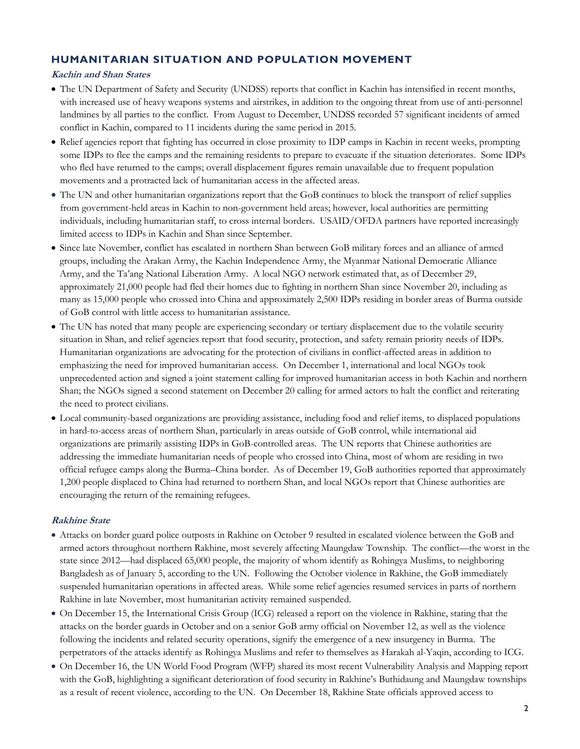## **HUMANITARIAN SITUATION AND POPULATION MOVEMENT**

#### **Kachin and Shan States**

- The UN Department of Safety and Security (UNDSS) reports that conflict in Kachin has intensified in recent months, with increased use of heavy weapons systems and airstrikes, in addition to the ongoing threat from use of anti-personnel landmines by all parties to the conflict. From August to December, UNDSS recorded 57 significant incidents of armed conflict in Kachin, compared to 11 incidents during the same period in 2015.
- Relief agencies report that fighting has occurred in close proximity to IDP camps in Kachin in recent weeks, prompting some IDPs to flee the camps and the remaining residents to prepare to evacuate if the situation deteriorates. Some IDPs who fled have returned to the camps; overall displacement figures remain unavailable due to frequent population movements and a protracted lack of humanitarian access in the affected areas.
- The UN and other humanitarian organizations report that the GoB continues to block the transport of relief supplies from government-held areas in Kachin to non-government held areas; however, local authorities are permitting individuals, including humanitarian staff, to cross internal borders. USAID/OFDA partners have reported increasingly limited access to IDPs in Kachin and Shan since September.
- Since late November, conflict has escalated in northern Shan between GoB military forces and an alliance of armed groups, including the Arakan Army, the Kachin Independence Army, the Myanmar National Democratic Alliance Army, and the Ta'ang National Liberation Army. A local NGO network estimated that, as of December 29, approximately 21,000 people had fled their homes due to fighting in northern Shan since November 20, including as many as 15,000 people who crossed into China and approximately 2,500 IDPs residing in border areas of Burma outside of GoB control with little access to humanitarian assistance.
- The UN has noted that many people are experiencing secondary or tertiary displacement due to the volatile security situation in Shan, and relief agencies report that food security, protection, and safety remain priority needs of IDPs. Humanitarian organizations are advocating for the protection of civilians in conflict-affected areas in addition to emphasizing the need for improved humanitarian access. On December 1, international and local NGOs took unprecedented action and signed a joint statement calling for improved humanitarian access in both Kachin and northern Shan; the NGOs signed a second statement on December 20 calling for armed actors to halt the conflict and reiterating the need to protect civilians.
- Local community-based organizations are providing assistance, including food and relief items, to displaced populations in hard-to-access areas of northern Shan, particularly in areas outside of GoB control, while international aid organizations are primarily assisting IDPs in GoB-controlled areas. The UN reports that Chinese authorities are addressing the immediate humanitarian needs of people who crossed into China, most of whom are residing in two official refugee camps along the Burma–China border. As of December 19, GoB authorities reported that approximately 1,200 people displaced to China had returned to northern Shan, and local NGOs report that Chinese authorities are encouraging the return of the remaining refugees.

#### **Rakhine State**

- Attacks on border guard police outposts in Rakhine on October 9 resulted in escalated violence between the GoB and armed actors throughout northern Rakhine, most severely affecting Maungdaw Township. The conflict—the worst in the state since 2012—had displaced 65,000 people, the majority of whom identify as Rohingya Muslims, to neighboring Bangladesh as of January 5, according to the UN. Following the October violence in Rakhine, the GoB immediately suspended humanitarian operations in affected areas. While some relief agencies resumed services in parts of northern Rakhine in late November, most humanitarian activity remained suspended.
- On December 15, the International Crisis Group (ICG) released a report on the violence in Rakhine, stating that the attacks on the border guards in October and on a senior GoB army official on November 12, as well as the violence following the incidents and related security operations, signify the emergence of a new insurgency in Burma. The perpetrators of the attacks identify as Rohingya Muslims and refer to themselves as Harakah al-Yaqin, according to ICG.
- On December 16, the UN World Food Program (WFP) shared its most recent Vulnerability Analysis and Mapping report with the GoB, highlighting a significant deterioration of food security in Rakhine's Buthidaung and Maungdaw townships as a result of recent violence, according to the UN. On December 18, Rakhine State officials approved access to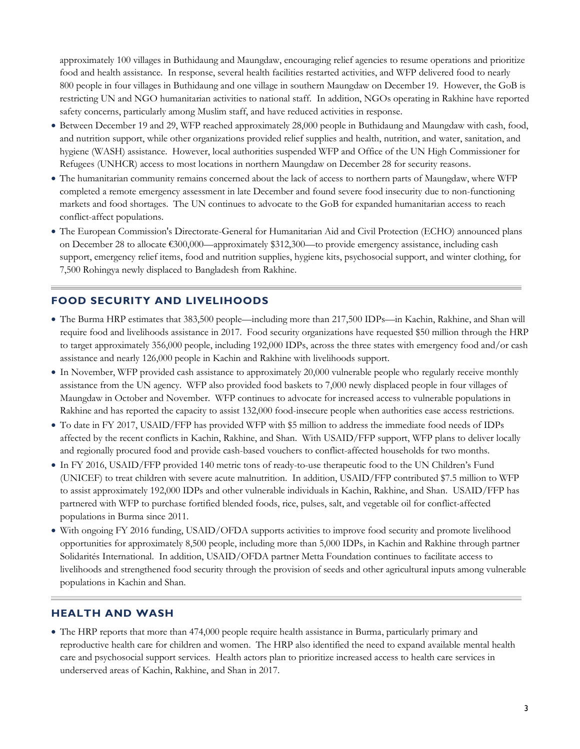approximately 100 villages in Buthidaung and Maungdaw, encouraging relief agencies to resume operations and prioritize food and health assistance. In response, several health facilities restarted activities, and WFP delivered food to nearly 800 people in four villages in Buthidaung and one village in southern Maungdaw on December 19. However, the GoB is restricting UN and NGO humanitarian activities to national staff. In addition, NGOs operating in Rakhine have reported safety concerns, particularly among Muslim staff, and have reduced activities in response.

- Between December 19 and 29, WFP reached approximately 28,000 people in Buthidaung and Maungdaw with cash, food, and nutrition support, while other organizations provided relief supplies and health, nutrition, and water, sanitation, and hygiene (WASH) assistance. However, local authorities suspended WFP and Office of the UN High Commissioner for Refugees (UNHCR) access to most locations in northern Maungdaw on December 28 for security reasons.
- The humanitarian community remains concerned about the lack of access to northern parts of Maungdaw, where WFP completed a remote emergency assessment in late December and found severe food insecurity due to non-functioning markets and food shortages. The UN continues to advocate to the GoB for expanded humanitarian access to reach conflict-affect populations.
- The [European Commission's Directorate-General for Humanitarian Aid and](http://reliefweb.int/organization/echo) Civil Protection (ECHO) announced plans on December 28 to allocate €300,000—approximately \$312,300—to provide emergency assistance, including cash support, emergency relief items, food and nutrition supplies, hygiene kits, psychosocial support, and winter clothing, for 7,500 Rohingya newly displaced to Bangladesh from Rakhine.

#### **FOOD SECURITY AND LIVELIHOODS**

- The Burma HRP estimates that 383,500 people—including more than 217,500 IDPs—in Kachin, Rakhine, and Shan will require food and livelihoods assistance in 2017. Food security organizations have requested \$50 million through the HRP to target approximately 356,000 people, including 192,000 IDPs, across the three states with emergency food and/or cash assistance and nearly 126,000 people in Kachin and Rakhine with livelihoods support.
- In November, WFP provided cash assistance to approximately 20,000 vulnerable people who regularly receive monthly assistance from the UN agency. WFP also provided food baskets to 7,000 newly displaced people in four villages of Maungdaw in October and November. WFP continues to advocate for increased access to vulnerable populations in Rakhine and has reported the capacity to assist 132,000 food-insecure people when authorities ease access restrictions.
- To date in FY 2017, USAID/FFP has provided WFP with \$5 million to address the immediate food needs of IDPs affected by the recent conflicts in Kachin, Rakhine, and Shan. With USAID/FFP support, WFP plans to deliver locally and regionally procured food and provide cash-based vouchers to conflict-affected households for two months.
- In FY 2016, USAID/FFP provided 140 metric tons of ready-to-use therapeutic food to the UN Children's Fund (UNICEF) to treat children with severe acute malnutrition. In addition, USAID/FFP contributed \$7.5 million to WFP to assist approximately 192,000 IDPs and other vulnerable individuals in Kachin, Rakhine, and Shan. USAID/FFP has partnered with WFP to purchase fortified blended foods, rice, pulses, salt, and vegetable oil for conflict-affected populations in Burma since 2011.
- With ongoing FY 2016 funding, USAID/OFDA supports activities to improve food security and promote livelihood opportunities for approximately 8,500 people, including more than 5,000 IDPs, in Kachin and Rakhine through partner Solidarités International. In addition, USAID/OFDA partner Metta Foundation continues to facilitate access to livelihoods and strengthened food security through the provision of seeds and other agricultural inputs among vulnerable populations in Kachin and Shan.

#### **HEALTH AND WASH**

 The HRP reports that more than 474,000 people require health assistance in Burma, particularly primary and reproductive health care for children and women. The HRP also identified the need to expand available mental health care and psychosocial support services. Health actors plan to prioritize increased access to health care services in underserved areas of Kachin, Rakhine, and Shan in 2017.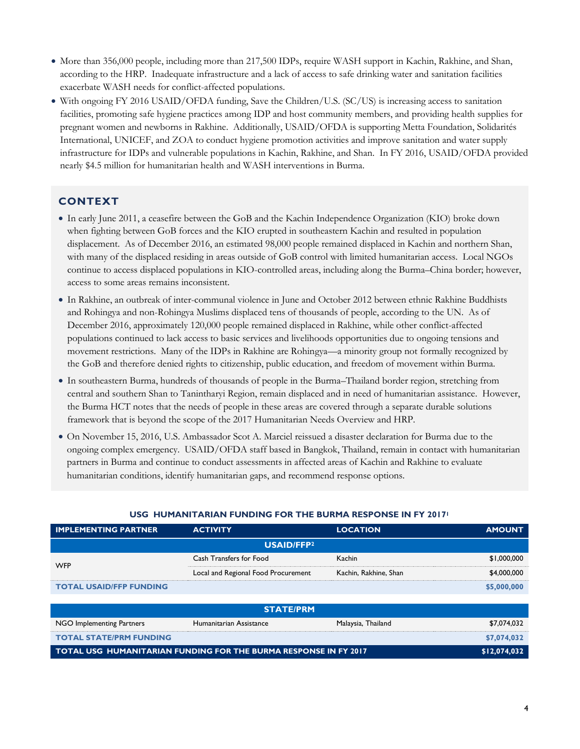- More than 356,000 people, including more than 217,500 IDPs, require WASH support in Kachin, Rakhine, and Shan, according to the HRP. Inadequate infrastructure and a lack of access to safe drinking water and sanitation facilities exacerbate WASH needs for conflict-affected populations.
- With ongoing FY 2016 USAID/OFDA funding, Save the Children/U.S. (SC/US) is increasing access to sanitation facilities, promoting safe hygiene practices among IDP and host community members, and providing health supplies for pregnant women and newborns in Rakhine. Additionally, USAID/OFDA is supporting Metta Foundation, Solidarités International, UNICEF, and ZOA to conduct hygiene promotion activities and improve sanitation and water supply infrastructure for IDPs and vulnerable populations in Kachin, Rakhine, and Shan. In FY 2016, USAID/OFDA provided nearly \$4.5 million for humanitarian health and WASH interventions in Burma.

#### **CONTEXT**

- In early June 2011, a ceasefire between the GoB and the Kachin Independence Organization (KIO) broke down when fighting between GoB forces and the KIO erupted in southeastern Kachin and resulted in population displacement. As of December 2016, an estimated 98,000 people remained displaced in Kachin and northern Shan, with many of the displaced residing in areas outside of GoB control with limited humanitarian access. Local NGOs continue to access displaced populations in KIO-controlled areas, including along the Burma–China border; however, access to some areas remains inconsistent.
- In Rakhine, an outbreak of inter-communal violence in June and October 2012 between ethnic Rakhine Buddhists and Rohingya and non-Rohingya Muslims displaced tens of thousands of people, according to the UN. As of December 2016, approximately 120,000 people remained displaced in Rakhine, while other conflict-affected populations continued to lack access to basic services and livelihoods opportunities due to ongoing tensions and movement restrictions. Many of the IDPs in Rakhine are Rohingya—a minority group not formally recognized by the GoB and therefore denied rights to citizenship, public education, and freedom of movement within Burma.
- In southeastern Burma, hundreds of thousands of people in the Burma–Thailand border region, stretching from central and southern Shan to Tanintharyi Region, remain displaced and in need of humanitarian assistance. However, the Burma HCT notes that the needs of people in these areas are covered through a separate durable solutions framework that is beyond the scope of the 2017 Humanitarian Needs Overview and HRP.
- On November 15, 2016, U.S. Ambassador Scot A. Marciel reissued a disaster declaration for Burma due to the ongoing complex emergency. USAID/OFDA staff based in Bangkok, Thailand, remain in contact with humanitarian partners in Burma and continue to conduct assessments in affected areas of Kachin and Rakhine to evaluate humanitarian conditions, identify humanitarian gaps, and recommend response options.

#### **USG HUMANITARIAN FUNDING FOR THE BURMA RESPONSE IN FY 2017<sup>1</sup>**

| <b>IMPLEMENTING PARTNER</b>                                      | <b>ACTIVITY</b>                     | <b>LOCATION</b>       | <b>AMOUNT</b> |  |  |  |
|------------------------------------------------------------------|-------------------------------------|-----------------------|---------------|--|--|--|
| <b>USAID/FFP2</b>                                                |                                     |                       |               |  |  |  |
| <b>WFP</b>                                                       | Cash Transfers for Food             | Kachin                | \$1,000,000   |  |  |  |
|                                                                  | Local and Regional Food Procurement | Kachin, Rakhine, Shan | \$4,000,000   |  |  |  |
| <b>TOTAL USAID/FFP FUNDING</b>                                   |                                     |                       | \$5,000,000   |  |  |  |
|                                                                  |                                     |                       |               |  |  |  |
| <b>STATE/PRM</b>                                                 |                                     |                       |               |  |  |  |
| NGO Implementing Partners                                        | Humanitarian Assistance             | Malaysia, Thailand    | \$7,074,032   |  |  |  |
| <b>TOTAL STATE/PRM FUNDING</b>                                   |                                     |                       | \$7,074,032   |  |  |  |
| TOTAL USG HUMANITARIAN FUNDING FOR THE BURMA RESPONSE IN FY 2017 |                                     |                       | \$12,074,032  |  |  |  |